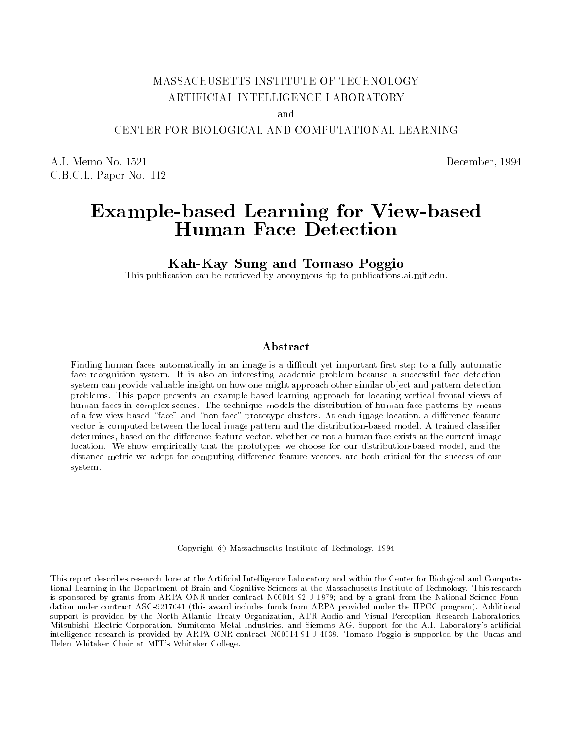# MASSACHUSETTS INSTITUTE OF TECHNOLOGY ARTIFICIAL INTELLIGENCE LABORATORY

and

# CENTER FOR BIOLOGICAL AND COMPUTATIONAL LEARNING

A.I. Memo No. 1521 December, 1994 C.B.C.L. Paper No. 112

# Example-based Learning for View-based he vissavist a viv voor volver de det de volver de volver de volver de volver de volver de volver de volver de

Kah-Kay Sung and Tomaso Poggio

This publication can be retrieved by anonymous ftp to publications.ai.mit.edu.

# Abstract

Finding human faces automatically in an image is a difficult yet important first step to a fully automatic face recognition system. It is also an interesting academic problem because a successful face detection system can provide valuable insight on how one might approach other similar object and pattern detection problems. This paper presents an example-based learning approach for locating vertical frontal views of human faces in complex scenes. The technique models the distribution of human face patterns by means of a few view-based "face" and "non-face" prototype clusters. At each image location, a difference feature vector is computed between the local image pattern and the distribution-based model. A trained classier determines, based on the difference feature vector, whether or not a human face exists at the current image location. We show empirically that the prototypes we choose for our distribution-based model, and the distance metric we adopt for computing difference feature vectors, are both critical for the success of our system.

Copyright  $\odot$  Massachusetts Institute of Technology, 1994

This report describes research done at the Articial Intelligence Laboratory and within the Center for Biological and Computational Learning in the Department of Brain and Cognitive Sciences at the Massachusetts Institute of Technology. This research is sponsored by grants from ARPA-ONR under contract N00014-92-J-1879; and by a grant from the National Science Foun dation under contract ASC-9217041 (this award includes funds from ARPA provided under the HPCC program). Additional support is provided by the North Atlantic Treaty Organization, ATR Audio and Visual Perception Research Laboratories, Mitsubishi Electric Corporation, Sumitomo Metal Industries, and Siemens AG. Support for the A.I. Laboratory's articial intelligence research is provided by ARPA-ONR contract N00014-91-J-4038. Tomaso Poggio is supported by the Uncas and Helen Whitaker Chair at MIT's Whitaker College.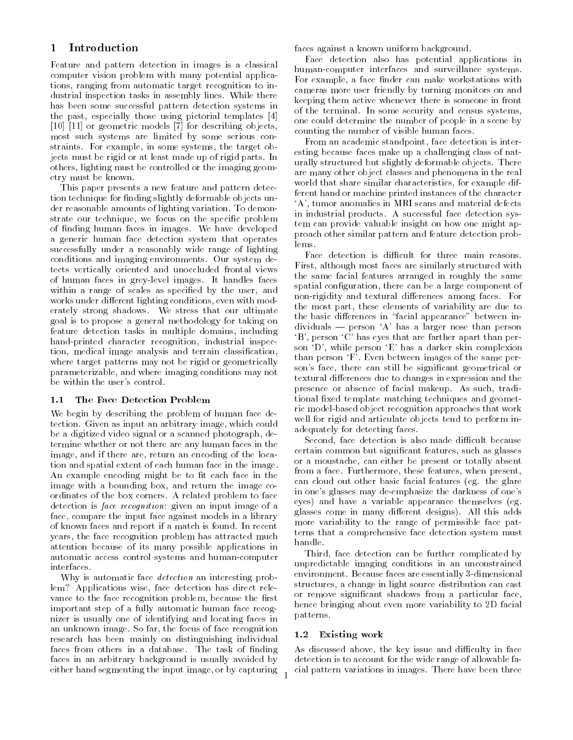#### $\mathbf 1$ **Introduction**

Feature and pattern detection in images is a classical computer vision problem with many potential applications, ranging from automatic target recognition to industrial inspection tasks in assembly lines. While there has been some successful pattern detection systems in the past, especially those using pictorial templates [4] [10] [11] or geometric models [7] for describing objects, most such systems are limited by some serious constraints. For example, in some systems, the target objects must be rigid or at least made up of rigid parts. In others, lighting must be controlled or the imaging geometry must be known.

This paper presents a new feature and pattern detection technique for finding slightly deformable objects under reasonable amounts of lighting variation. To demonstrate our technique, we focus on the specic problem of nding human faces in images. We have developed a generic human face detection system that operates successfully under a reasonably wide range of lighting conditions and imaging environments. Our system detects vertically oriented and unoccluded frontal views of human faces in grey-level images. It handles faces within a range of scales as specified by the user, and works under different lighting conditions, even with moderately strong shadows. We stress that our ultimate goal is to propose a general methodology for taking on feature detection tasks in multiple domains, including hand-printed character recognition, industrial inspection, medical image analysis and terrain classication, where target patterns may not be rigid or geometrically parameterizable, and where imaging conditions may not be within the user's control.

#### 1.1 The Face Detection Problem  $1.1$

We begin by describing the problem of human face detection. Given as input an arbitrary image, which could be a digitized video signal or a scanned photograph, determine whether or not there are any human faces in the image, and if there are, return an encoding of the location and spatial extent of each human face in the image. An example encoding might be to fit each face in the image with a bounding box, and return the image coordinates of the box corners. A related problem to face detection is *face recognition*: given an input image of a face, compare the input face against models in a library of known faces and report if a match is found. In recent years, the face recognition problem has attracted much attention because of its many possible applications in automatic access control systems and human-computer interfaces.

Why is automatic face detection an interesting problem? Applications wise, face detection has direct rele vance to the face recognition problem, because the first important step of a fully automatic human face recognizer is usually one of identifying and locating faces in an unknown image. So far, the focus of face recognition research has been mainly on distinguishing individual faces from others in a database. The task of finding faces in an arbitrary background is usually avoided by either hand segmenting the input image, or by capturing faces against a known uniform background.

Face detection also has potential applications in human-computer interfaces and surveillance systems. For example, a face finder can make workstations with cameras more user friendly by turning monitors on and keeping them active whenever there is someone in front of the terminal. In some security and census systems, one could determine the number of people in a scene by counting the number of visible human faces.

From an academic standpoint, face detection is interesting because faces make up a challenging class of naturally structured but slightly deformable objects. There are many other object classes and phenomena in the real world that share similar characteristics, for example different hand or machine printed instances of the character `A', tumor anomalies in MRI scans and material defects in industrial products. A successful face detection system can provide valuable insight on how one might approach other similar pattern and feature detection prob-

Face detection is difficult for three main reasons. First, although most faces are similarly structured with the same facial features arranged in roughly the same spatial configuration, there can be a large component of non-rigidity and textural differences among faces. For the most part, these elements of variability are due to the basic differences in "facial appearance" between in $dividuals$  — person  $A$  has a larger nose than person `B', person `C' has eyes that are farther apart than person `D', while person `E' has a darker skin complexion than person `F'. Even between images of the same person's face, there can still be signicant geometrical or textural differences due to changes in expression and the presence or absence of facial makeup. As such, traditional fixed template matching techniques and geometric model-based object recognition approaches that work well for rigid and articulate objects tend to perform inadequately for detecting faces.

Second, face detection is also made difficult because certain common but signicant features, such as glasses or a moustache, can either be present or totally absent from a face. Furthermore, these features, when present, can cloud out other basic facial features (eg. the glare in one's glasses may de-emphasize the darkness of one's eyes) and have a variable appearance themselves (eg. glasses come in many different designs). All this adds more variability to the range of permissible face patterns that a comprehensive face detection system must handle.

Third, face detection can be further complicated by unpredictable imaging conditions in an unconstrained environment. Because faces are essentially 3-dimensional structures, a change in light source distribution can cast or remove signicant shadows from a particular face, hence bringing about even more variability to 2D facial patterns.

### 1.2 Existing work

As discussed above, the key issue and difficulty in face detection is to account for the wide range of allowable facial pattern variations in images. There have been three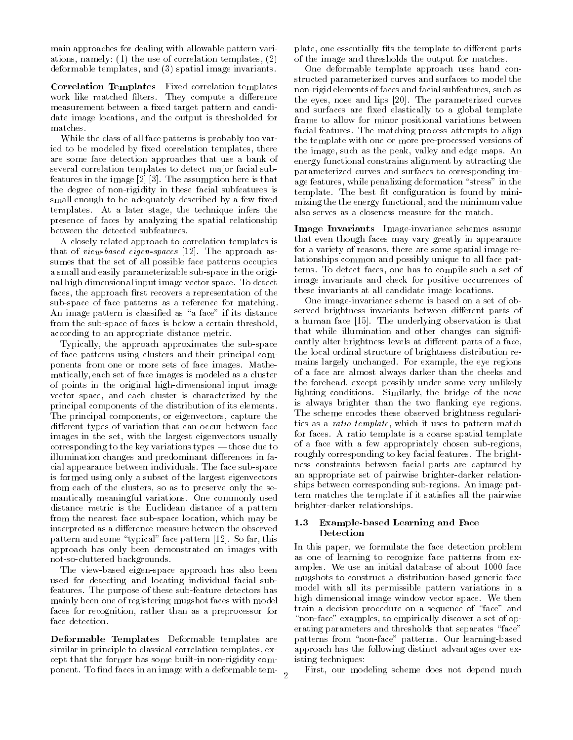main approaches for dealing with allowable pattern variations, namely: (1) the use of correlation templates, (2) deformable templates, and (3) spatial image invariants.

Correlation Templates Fixed correlation templates work like matched filters. They compute a difference measurement between a fixed target pattern and candidate image locations, and the output is thresholded for matches.

While the class of all face patterns is probably too varied to be modeled by fixed correlation templates, there are some face detection approaches that use a bank of several correlation templates to detect major facial subfeatures in the image [2] [3]. The assumption here is that the degree of non-rigidity in these facial subfeatures is small enough to be adequately described by a few fixed templates. At a later stage, the technique infers the presence of faces by analyzing the spatial relationship between the detected subfeatures.

A closely related approach to correlation templates is that of view-based eigen-spaces [12]. The approach assumes that the set of all possible face patterns occupies a small and easily parameterizable sub-space in the original high dimensional input image vector space. To detect faces, the approach first recovers a representation of the sub-space of face patterns as a reference for matching. An image pattern is classified as "a face" if its distance from the sub-space of faces is below a certain threshold, according to an appropriate distance metric.

Typically, the approach approximates the sub-space of face patterns using clusters and their principal components from one or more sets of face images. Mathematically, each set of face images is modeled as a cluster of points in the original high-dimensional input image vector space, and each cluster is characterized by the principal components of the distribution of its elements. The principal components, or eigenvectors, capture the different types of variation that can occur between face images in the set, with the largest eigenvectors usually corresponding to the key variations types  $-$  those due to illumination changes and predominant differences in facial appearance between individuals. The face sub-space is formed using only a subset of the largest eigenvectors from each of the clusters, so as to preserve only the se mantically meaningful variations. One commonly used distance metric is the Euclidean distance of a pattern from the nearest face sub-space location, which may be interpreted as a difference measure between the observed pattern and some "typical" face pattern [12]. So far, this approach has only been demonstrated on images with not-so-cluttered backgrounds.

The view-based eigen-space approach has also been used for detecting and locating individual facial subfeatures. The purpose of these sub-feature detectors has mainly been one of registering mugshot faces with model faces for recognition, rather than as a preprocessor for face detection.

Deformable Templates Deformable templates are similar in principle to classical correlation templates, except that the former has some built-in non-rigidity component. To find faces in an image with a deformable template, one essentially fits the template to different parts of the image and thresholds the output for matches.

One deformable template approach uses hand constructed parameterized curves and surfaces to model the non-rigid elements of faces and facial subfeatures, such as the eyes, nose and lips [20]. The parameterized curves and surfaces are fixed elastically to a global template frame to allow for minor positional variations between facial features. The matching process attempts to align the template with one or more pre-processed versions of the image, such as the peak, valley and edge maps. An energy functional constrains alignment by attracting the parameterized curves and surfaces to corresponding image features, while penalizing deformation "stress" in the template. The best fit configuration is found by minimizing the the energy functional, and the minimum value also serves as a closeness measure for the match.

Image Invariants Image-invariance schemes assume that even though faces may vary greatly in appearance for a variety of reasons, there are some spatial image relationships common and possibly unique to all face patterns. To detect faces, one has to compile such a set of image invariants and check for positive occurrences of these invariants at all candidate image locations.

One image-invariance scheme is based on a set of observed brightness invariants between different parts of a human face [15]. The underlying observation is that that while illumination and other changes can significantly alter brightness levels at different parts of a face, the local ordinal structure of brightness distribution remains largely unchanged. For example, the eye regions of a face are almost always darker than the cheeks and the forehead, except possibly under some very unlikely lighting conditions. Similarly, the bridge of the nose is always brighter than the two flanking eye regions. The scheme encodes these observed brightness regularities as a ratio template, which it uses to pattern match for faces. A ratio template is a coarse spatial template of a face with a few appropriately chosen sub-regions, roughly corresponding to key facial features. The brightness constraints between facial parts are captured by an appropriate set of pairwise brighter-darker relationships between corresponding sub-regions. An image pattern matches the template if it satisfies all the pairwise brighter-darker relationships.

### 1.3 Example-based Learning and Face Detection

In this paper, we formulate the face detection problem as one of learning to recognize face patterns from examples. We use an initial database of about 1000 face mugshots to construct a distribution-based generic face model with all its permissible pattern variations in a high dimensional image window vector space. We then train a decision procedure on a sequence of \face" and "non-face" examples, to empirically discover a set of operating parameters and thresholds that separates "face" patterns from "non-face" patterns. Our learning-based approach has the following distinct advantages over existing techniques:

First, our modeling scheme does not depend much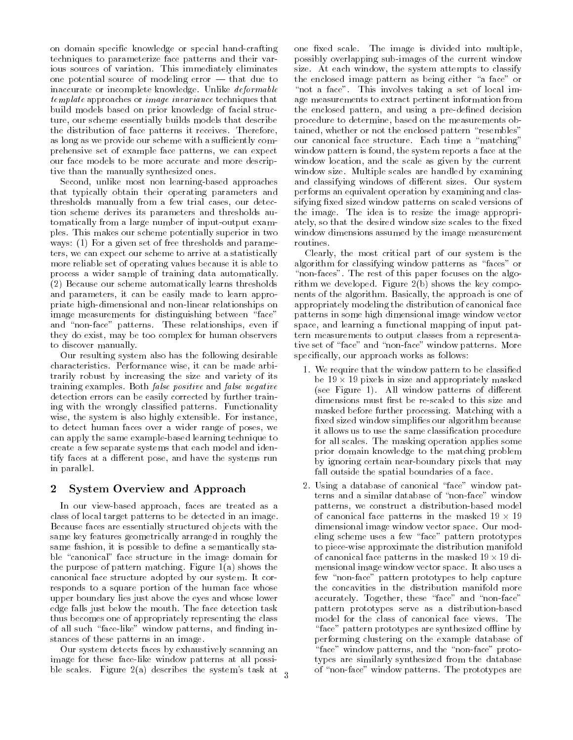on domain specic knowledge or special hand-crafting techniques to parameterize face patterns and their various sources of variation. This immediately eliminates one potential source of modeling error  $-$  that due to inaccurate or incomplete knowledge. Unlike deformable template approaches or image invariance techniques that build models based on prior knowledge of facial structure, our scheme essentially builds models that describe the distribution of face patterns it receives. Therefore, as long as we provide our scheme with a sufficiently comprehensive set of example face patterns, we can expect our face models to be more accurate and more descriptive than the manually synthesized ones.

Second, unlike most non learning-based approaches that typically obtain their operating parameters and thresholds manually from a few trial cases, our detection scheme derives its parameters and thresholds automatically from a large number of input-output examples. This makes our scheme potentially superior in two ways: (1) For a given set of free thresholds and parameters, we can expect our scheme to arrive at a statistically more reliable set of operating values because it is able to process a wider sample of training data automatically. (2) Because our scheme automatically learns thresholds and parameters, it can be easily made to learn appropriate high-dimensional and non-linear relationships on image measurements for distinguishing between "face" and "non-face" patterns. These relationships, even if they do exist, may be too complex for human observers to discover manually.

Our resulting system also has the following desirable characteristics. Performance wise, it can be made arbitrarily robust by increasing the size and variety of its training examples. Both false positive and false negative detection errors can be easily corrected by further training with the wrongly classied patterns. Functionality wise, the system is also highly extensible. For instance, to detect human faces over a wider range of poses, we can apply the same example-based learning technique to create a few separate systems that each model and identify faces at a different pose, and have the systems run in parallel.

# 2 System Overview and Approach

In our view-based approach, faces are treated as a class of local target patterns to be detected in an image. Because faces are essentially structured objects with the same key features geometrically arranged in roughly the same fashion, it is possible to define a semantically stable "canonical" face structure in the image domain for the purpose of pattern matching. Figure 1(a) shows the canonical face structure adopted by our system. It corresponds to a square portion of the human face whose upper boundary lies just above the eyes and whose lower edge falls just below the mouth. The face detection task thus becomes one of appropriately representing the class of all such "face-like" window patterns, and finding instances of these patterns in an image.

Our system detects faces by exhaustively scanning an image for these face-like window patterns at all possible scales. Figure 2(a) describes the system's task at one fixed scale. The image is divided into multiple, possibly overlapping sub-images of the current window size. At each window, the system attempts to classify the enclosed image pattern as being either "a face" or "not a face". This involves taking a set of local image measurements to extract pertinent information from the enclosed pattern, and using a pre-defined decision procedure to determine, based on the measurements obtained, whether or not the enclosed pattern "resembles" our canonical face structure. Each time a "matching" window pattern is found, the system reports a face at the window location, and the scale as given by the current window size. Multiple scales are handled by examining and classifying windows of different sizes. Our system performs an equivalent operation by examining and classifying fixed sized window patterns on scaled versions of the image. The idea is to resize the image appropriately, so that the desired window size scales to the fixed window dimensions assumed by the image measurement routines.

Clearly, the most critical part of our system is the algorithm for classifying window patterns as "faces" or "non-faces". The rest of this paper focuses on the algorithm we developed. Figure 2(b) shows the key compo nents of the algorithm. Basically, the approach is one of appropriately modeling the distribution of canonical face patterns in some high dimensional image window vector space, and learning a functional mapping of input pattern measurements to output classes from a representative set of "face" and "non-face" window patterns. More specifically, our approach works as follows:

- 1. We require that the window pattern to be classied be 19 pixels in size and appropriately material masked in the size and appropriately material and appropriately (see Figure 1). All window patterns of different dimensions must first be re-scaled to this size and masked before further processing. Matching with a fixed sized window simplifies our algorithm because it allows us to use the same classication procedure for all scales. The masking operation applies some prior domain knowledge to the matching problem by ignoring certain near-boundary pixels that may fall outside the spatial boundaries of a face.
- 2. Using a database of canonical \face" window patterns and a similar database of "non-face" window patterns, we construct a distribution-based model of canonical face patterns in the masked 19 - 19 dimensional image window vector space. Our modeling scheme uses a few \face" pattern prototypes to piece-wise approximate the distribution manifold of canonical face patterns in the masked 19 - 19 dimensional image window vector space. It also uses a few \non-face" pattern prototypes to help capture the concavities in the distribution manifold more accurately. Together, these "face" and "non-face" pattern prototypes serve as a distribution-based model for the class of canonical face views. The "face" pattern prototypes are synthesized offline by performing clustering on the example database of "face" window patterns, and the "non-face" prototypes are similarly synthesized from the database of \non-face" window patterns. The prototypes are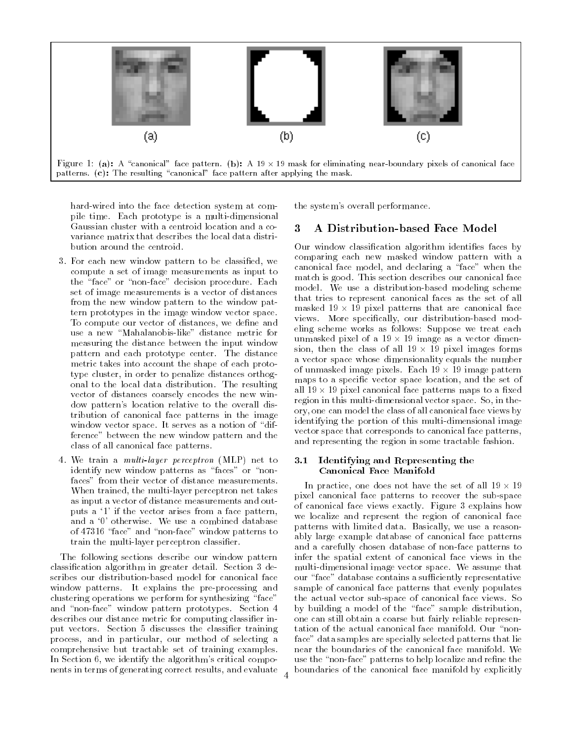

hard-wired into the face detection system at compile time. Each prototype is a multi-dimensional Gaussian cluster with a centroid location and a co variance matrix that describes the local data distribution around the centroid.

- 3. For each new window pattern to be classied, we compute a set of image measurements as input to the "face" or "non-face" decision procedure. Each set of image measurements is a vector of distances from the new window pattern to the window pattern prototypes in the image window vector space. To compute our vector of distances, we define and use a new "Mahalanobis-like" distance metric for measuring the distance between the input window pattern and each prototype center. The distance metric takes into account the shape of each prototype cluster, in order to penalize distances orthogonal to the local data distribution. The resulting vector of distances coarsely encodes the new window pattern's location relative to the overall distribution of canonical face patterns in the image window vector space. It serves as a notion of "difference" between the new window pattern and the class of all canonical face patterns.
- 4. We train a multi-layer perceptron (MLP) net to identify new window patterns as "faces" or "nonfaces" from their vector of distance measurements. When trained, the multi-layer perceptron net takes as input a vector of distance measurements and outputs a `1' if the vector arises from a face pattern, and a `0' otherwise. We use a combined database of 47316 "face" and "non-face" window patterns to train the multi-layer perceptron classifier.

The following sections describe our window pattern classication algorithm in greater detail. Section 3 describes our distribution-based model for canonical face window patterns. It explains the pre-processing and clustering operations we perform for synthesizing "face" and "non-face" window pattern prototypes. Section 4 describes our distance metric for computing classier input vectors. Section 5 discusses the classier training process, and in particular, our method of selecting a comprehensive but tractable set of training examples. In Section 6, we identify the algorithm's critical compo nents in terms of generating correct results, and evaluate

the system's overall performance.

#### 3 A Distribution-based Face Model 3

Our window classification algorithm identifies faces by comparing each new masked window pattern with a canonical face model, and declaring a "face" when the match is good. This section describes our canonical face model. We use a distribution-based modeling scheme that tries to represent canonical faces as the set of all masked 19 - 19 pixel patterns that are canonical face views. More specically, our distribution-based modeling scheme works as follows: Suppose we treat each unmasked pixel of a 19 image as a 19 image as a vector dimension of a 19 image as a vector dimension of a vector sion, these the class of all it is the pixels format forming a vector space whose dimensionality equals the number of unmasked image pixels. Each 19 - 19 image pattern maps to a specific vector space location, and the set of all the canonical face patterns matrix to a pattern maps to a matrix of the canonical face patterns of the canonical contract of the canonical contract of the canonical contract of the canonical contract of the canonical c region in this multi-dimensional vector space. So, in theory, one can model the class of all canonical face views by identifying the portion of this multi-dimensional image vector space that corresponds to canonical face patterns, and representing the region in some tractable fashion.

#### 3.1 Identifying and Representing the Canonical Face Manifold

In practice, one does not have the set of all 19 - 19 pixel canonical face patterns to recover the sub-space of canonical face views exactly. Figure 3 explains how we localize and represent the region of canonical face patterns with limited data. Basically, we use a reasonably large example database of canonical face patterns and a carefully chosen database of non-face patterns to infer the spatial extent of canonical face views in the multi-dimensional image vector space. We assume that our "face" database contains a sufficiently representative sample of canonical face patterns that evenly populates the actual vector sub-space of canonical face views. So by building a model of the "face" sample distribution, one can still obtain a coarse but fairly reliable representation of the actual canonical face manifold. Our "nonface" data samples are specially selected patterns that lie near the boundaries of the canonical face manifold. We use the "non-face" patterns to help localize and refine the boundaries of the canonical face manifold by explicitly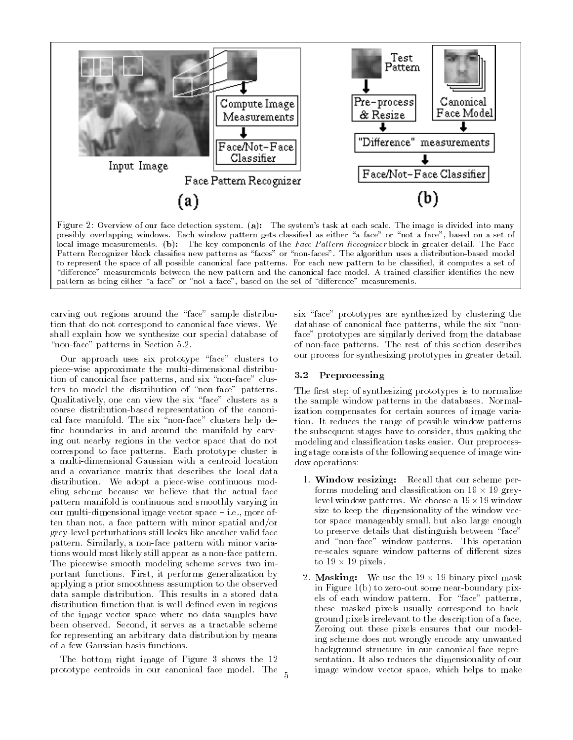

possibly overlapping windows. Each window pattern gets classified as either "a face" or "not a face", based on a set of local image measurements. (b): The key components of the Face Pattern Recognizer block in greater detail. The Face Pattern Recognizer block classifies new patterns as "faces" or "non-faces". The algorithm uses a distribution-based model to represent the space of all possible canonical face patterns. For each new pattern to be classied, it computes a set of "difference" measurements between the new pattern and the canonical face model. A trained classifier identifies the new pattern as being either "a face" or "not a face", based on the set of "difference" measurements.

carving out regions around the "face" sample distribution that do not correspond to canonical face views. We shall explain how we synthesize our special database of "non-face" patterns in Section 5.2.

Our approach uses six prototype "face" clusters to piece-wise approximate the multi-dimensional distribution of canonical face patterns, and six "non-face" clusters to model the distribution of "non-face" patterns. Qualitatively, one can view the six "face" clusters as a coarse distribution-based representation of the canonical face manifold. The six "non-face" clusters help define boundaries in and around the manifold by carving out nearby regions in the vector space that do not correspond to face patterns. Each prototype cluster is a multi-dimensional Gaussian with a centroid location and a covariance matrix that describes the local data distribution. We adopt a piece-wise continuous modeling scheme because we believe that the actual face pattern manifold is continuous and smoothly varying in our multi-dimensional image vector space  $-$  i.e., more often than not, a face pattern with minor spatial and/or grey-level perturbations still looks like another valid face pattern. Similarly, a non-face pattern with minor variations would most likely still appear as a non-face pattern. The piecewise smooth modeling scheme serves two important functions. First, it performs generalization by applying a prior smoothness assumption to the observed data sample distribution. This results in a stored data distribution function that is well dened even in regions of the image vector space where no data samples have been observed. Second, it serves as a tractable scheme for representing an arbitrary data distribution by means of a few Gaussian basis functions.

The bottom right image of Figure 3 shows the 12 prototype centroids in our canonical face model. The six "face" prototypes are synthesized by clustering the database of canonical face patterns, while the six "nonface" prototypes are similarly derived from the database of non-face patterns. The rest of this section describes our process for synthesizing prototypes in greater detail.

# 3.2 Preprocessing

The first step of synthesizing prototypes is to normalize the sample window patterns in the databases. Normalization compensates for certain sources of image variation. It reduces the range of possible window patterns the subsequent stages have to consider, thus making the modeling and classication tasks easier. Our preprocessing stage consists of the following sequence of image window operations:

- 1. Window resizing: Recall that our scheme performs modeling and classication on 19 - 19 greylevel window patterns. We choose a 19-19 window size to keep the dimensionality of the window vector space manageably small, but also large enough to preserve details that distinguish between "face" and "non-face" window patterns. This operation re-scales square window patterns of different sizes to 20 percent
- 2. Masking: We use the 19 19 binary pixel mask in Figure 1(b) to zero-out some near-boundary pixels of each window pattern. For \face" patterns, these masked pixels usually correspond to background pixels irrelevant to the description of a face. Zeroing out these pixels ensures that our modeling scheme does not wrongly encode any unwanted background structure in our canonical face representation. It also reduces the dimensionality of our image window vector space, which helps to make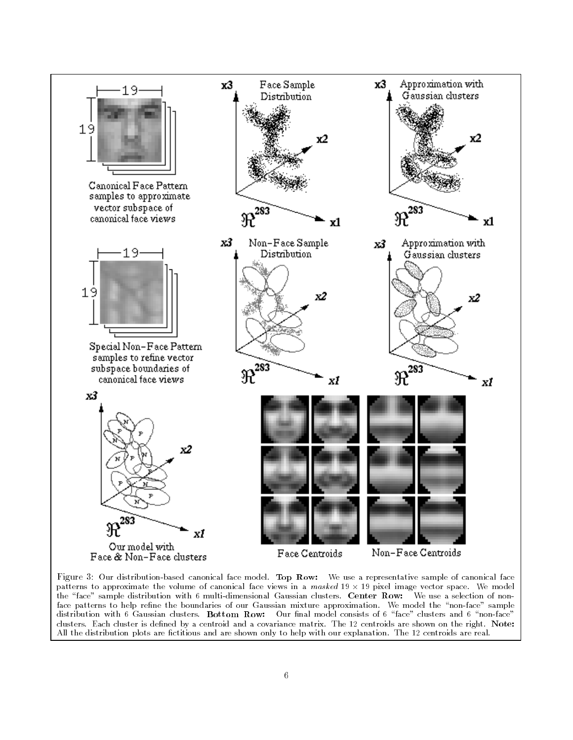

Figure 3: Our distribution-based canonical face model. Top Row: We use a representative sample of canonical face patterns to approximate the volume of canonical face views in a masked 19 - 19 pixel image vector space. We model the "face" sample distribution with 6 multi-dimensional Gaussian clusters. Center Row: We use a selection of nonface patterns to help refine the boundaries of our Gaussian mixture approximation. We model the "non-face" sample distribution with 6 Gaussian clusters. Bottom Row: Our final model consists of 6 "face" clusters and 6 "non-face" clusters. Each cluster is defined by a centroid and a covariance matrix. The 12 centroids are shown on the right. Note: All the distribution plots are fictitious and are shown only to help with our explanation. The 12 centroids are real.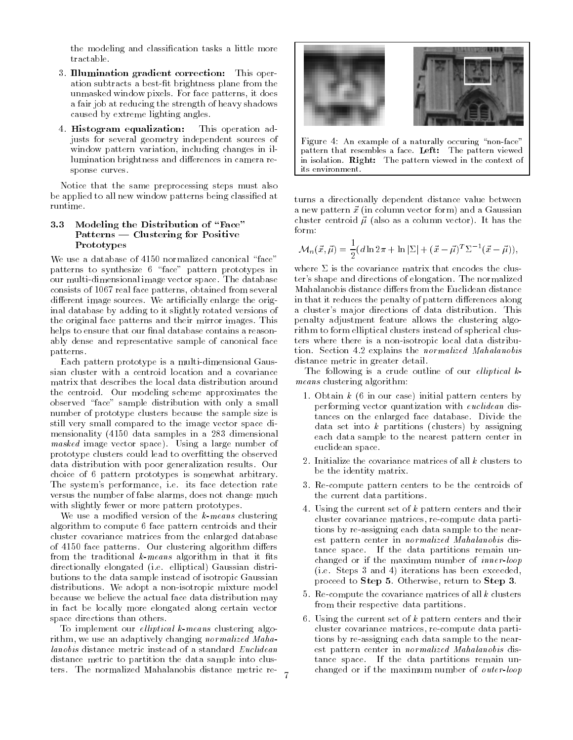the modeling and classication tasks a little more tractable.

- 3. Illumination gradient correction: This operation subtracts a best-fit brightness plane from the unmasked window pixels. For face patterns, it does a fair job at reducing the strength of heavy shadows caused by extreme lighting angles.
- 4. Histogram equalization: This operation adjusts for several geometry independent sources of window pattern variation, including changes in illumination brightness and differences in camera response curves.

Notice that the same preprocessing steps must also be applied to all new window patterns being classied at runtime.

#### 3.3 Modeling the Distribution of "Face" Patterns — Clustering for Positive Prototypes

We use a database of 4150 normalized canonical "face" patterns to synthesize 6 "face" pattern prototypes in our multi-dimensional image vector space. The database consists of 1067 real face patterns, obtained from several different image sources. We artificially enlarge the original database by adding to it slightly rotated versions of the original face patterns and their mirror images. This helps to ensure that our final database contains a reasonably dense and representative sample of canonical face patterns.

Each pattern prototype is a multi-dimensional Gaussian cluster with a centroid location and a covariance matrix that describes the local data distribution around the centroid. Our modeling scheme approximates the observed "face" sample distribution with only a small number of prototype clusters because the sample size is still very small compared to the image vector space dimensionality (4150 data samples in a 283 dimensional masked image vector space). Using a large number of prototype clusters could lead to overfitting the observed data distribution with poor generalization results. Our choice of 6 pattern prototypes is somewhat arbitrary. The system's performance, i.e. its face detection rate versus the number of false alarms, does not change much with slightly fewer or more pattern prototypes.

We use a modified version of the  $k$ -means clustering algorithm to compute 6 face pattern centroids and their cluster covariance matrices from the enlarged database of 4150 face patterns. Our clustering algorithm differs from the traditional  $k$ -means algorithm in that it fits directionally elongated (i.e. elliptical) Gaussian distributions to the data sample instead of isotropic Gaussian distributions. We adopt a non-isotropic mixture model because we believe the actual face data distribution may in fact be locally more elongated along certain vector space directions than others.

To implement our *elliptical k-means* clustering algorithm, we use an adaptively changing normalized Mahadistance metric to partition the data sample into clusters. The normalized Mahalanobis distance metric re-



Figure 4: An example of a naturally occuring "non-face" pattern that resembles a face. Left: The pattern viewed in isolation. Right: The pattern viewed in the context of its environment.

turns a directionally dependent distance value between a new pattern  $\vec{x}$  (in column vector form) and a Gaussian cluster centroid  $\vec{\mu}$  (also as a column vector). It has the

$$
\mathcal{M}_n(\vec{x}, \vec{\mu}) = \frac{1}{2} (d \ln 2\pi + \ln |\Sigma| + (\vec{x} - \vec{\mu})^T \Sigma^{-1} (\vec{x} - \vec{\mu})),
$$

ter's shape and directions of elongation. The normalized Mahalanobis distance differs from the Euclidean distance in that it reduces the penalty of pattern differences along a cluster's major directions of data distribution. This penalty adjustment feature allows the clustering algorithm to form elliptical clusters instead of spherical clusters where there is a non-isotropic local data distribution. Section 4.2 explains the normalized Mahalanobis distance metric in greater detail.

The following is a crude outline of our *elliptical*  $k$ means clustering algorithm:

- 1. Obtain  $k$  (6 in our case) initial pattern centers by performing vector quantization with euclidean distances on the enlarged face database. Divide the data set into  $k$  partitions (clusters) by assigning each data sample to the nearest pattern center in euclidean space.
- 2. Initialize the covariance matrices of all  $k$  clusters to be the identity matrix.
- 3. Re-compute pattern centers to be the centroids of the current data partitions.
- 4. Using the current set of <sup>k</sup> pattern centers and their cluster covariance matrices, re-compute data partitions by re-assigning each data sample to the nearest pattern center in normalized Mahalanobis distance space. If the data partitions remain unchanged or if the maximum number of inner-loop (i.e. Steps 3 and 4) iterations has been exceeded, proceed to Step 5. Otherwise, return to Step 3.
- 5. Re-compute the covariance matrices of all  $k$  clusters from their respective data partitions.
- 6. Using the current set of  $k$  pattern centers and their cluster covariance matrices, re-compute data partitions by re-assigning each data sample to the nearest pattern center in normalized Mahalanobis distance space. If the data partitions remain unchanged or if the maximum number of outer-loop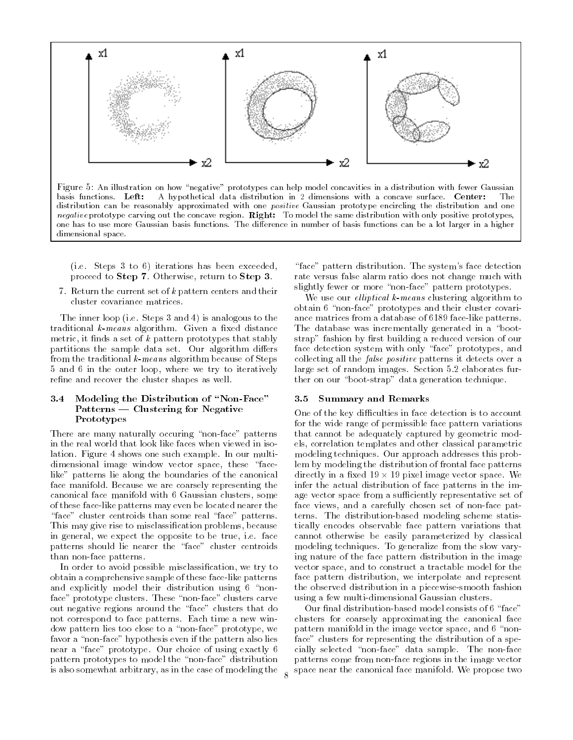

basis functions. Left: A hypothetical data distribution in 2 dimensions with a concave surface. Center: distribution can be reasonably approximated with one positive Gaussian prototype encircling the distribution and one negative prototype carving out the concave region. Right: To model the same distribution with only positive prototypes, one has to use more Gaussian basis functions. The difference in number of basis functions can be a lot larger in a higher dimensional space.

(i.e. Steps 3 to 6) iterations has been exceeded, proceed to Step 7. Otherwise, return to Step 3.

7. Return the current set of  $k$  pattern centers and their cluster covariance matrices.

The inner loop (i.e. Steps 3 and 4) is analogous to the traditional  $k$ -means algorithm. Given a fixed distance metric, it finds a set of  $k$  pattern prototypes that stably partitions the sample data set. Our algorithm differs from the traditional k-means algorithm because of Steps 5 and 6 in the outer loop, where we try to iteratively refine and recover the cluster shapes as well.

#### 3.4 Modeling the Distribution of "Non-Face" Patterns — Clustering for Negative Prototypes

There are many naturally occuring "non-face" patterns in the real world that look like faces when viewed in isolation. Figure 4 shows one such example. In our multidimensional image window vector space, these "facelike" patterns lie along the boundaries of the canonical face manifold. Because we are coarsely representing the canonical face manifold with 6 Gaussian clusters, some of these face-like patterns may even be located nearer the "face" cluster centroids than some real "face" patterns. This may give rise to misclassication problems, because in general, we expect the opposite to be true, i.e. face patterns should lie nearer the "face" cluster centroids than non-face patterns.

In order to avoid possible misclassification, we try to obtain a comprehensive sample of these face-like patterns and explicitly model their distribution using 6 "nonface" prototype clusters. These "non-face" clusters carve out negative regions around the \face" clusters that do not correspond to face patterns. Each time a new window pattern lies too close to a \non-face" prototype, we favor a "non-face" hypothesis even if the pattern also lies near a "face" prototype. Our choice of using exactly 6 pattern prototypes to model the "non-face" distribution is also somewhat arbitrary, as in the case of modeling the

"face" pattern distribution. The system's face detection rate versus false alarm ratio does not change much with slightly fewer or more "non-face" pattern prototypes.

We use our *elliptical k-means* clustering algorithm to obtain 6 "non-face" prototypes and their cluster covariance matrices from a database of 6189 face-like patterns. The database was incrementally generated in a "bootstrap" fashion by first building a reduced version of our face detection system with only "face" prototypes, and collecting all the false positive patterns it detects over a large set of random images. Section 5.2 elaborates further on our \boot-strap" data generation technique.

#### 3.5 Summary and Remarks

One of the key difficulties in face detection is to account for the wide range of permissible face pattern variations that cannot be adequately captured by geometric models, correlation templates and other classical parametric modeling techniques. Our approach addresses this problem by modeling the distribution of frontal face patterns arrectly for a cheed red in red particle and  $\mathcal{A}_1$  , where in particle is a control infer the actual distribution of face patterns in the image vector space from a sufficiently representative set of face views, and a carefully chosen set of non-face patterns. The distribution-based modeling scheme statistically encodes observable face pattern variations that cannot otherwise be easily parameterized by classical modeling techniques. To generalize from the slow varying nature of the face pattern distribution in the image vector space, and to construct a tractable model for the face pattern distribution, we interpolate and represent the observed distribution in a piecewise-smooth fashion using a few multi-dimensional Gaussian clusters.

Our final distribution-based model consists of 6 "face" clusters for coarsely approximating the canonical face pattern manifold in the image vector space, and 6 "nonface" clusters for representing the distribution of a specially selected "non-face" data sample. The non-face patterns come from non-face regions in the image vector space near the canonical face manifold. We propose two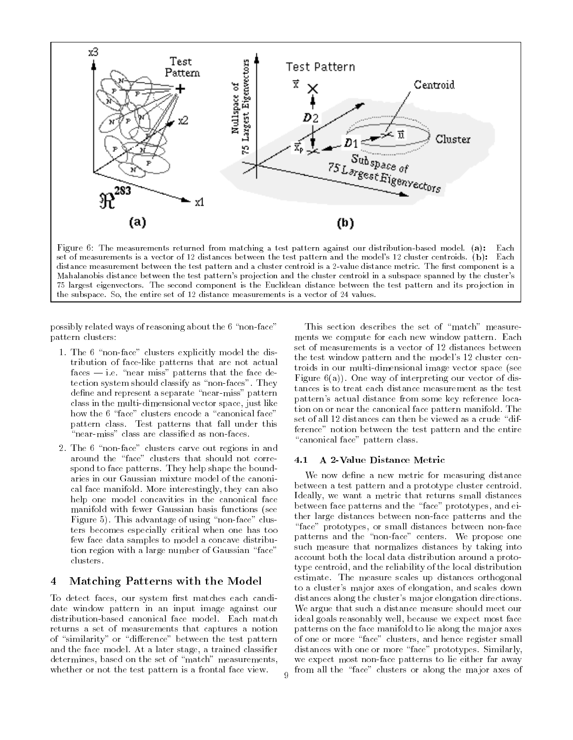

set of measurements is a vector of 12 distances between the test pattern and the model's 12 cluster centroids. (b): Each distance measurement between the test pattern and a cluster centroid is a 2-value distance metric. The first component is a Mahalanobis distance between the test pattern's projection and the cluster centroid in a subspace spanned by the cluster's 75 largest eigenvectors. The second component is the Euclidean distance between the test pattern and its projection in the subspace. So, the entire set of 12 distance measurements is a vector of 24 values.

possibly related ways of reasoning about the 6 "non-face" pattern clusters:

- 1. The 6 "non-face" clusters explicitly model the distribution of face-like patterns that are not actual  $faces$   $-$  i.e. "near miss" patterns that the face detection system should classify as "non-faces". They define and represent a separate "near-miss" pattern class in the multi-dimensional vector space, just like how the 6 "face" clusters encode a "canonical face" pattern class. Test patterns that fall under this "near-miss" class are classified as non-faces.
- 2. The 6 "non-face" clusters carve out regions in and around the "face" clusters that should not correspond to face patterns. They help shape the boundaries in our Gaussian mixture model of the canonical face manifold. More interestingly, they can also help one model concavities in the canonical face manifold with fewer Gaussian basis functions (see Figure 5). This advantage of using "non-face" clusters becomes especially critical when one has too few face data samples to model a concave distribution region with a large number of Gaussian "face" clusters.

# 4 Matching Patterns with the Model

To detect faces, our system first matches each candidate window pattern in an input image against our distribution-based canonical face model. Each match returns a set of measurements that captures a notion of "similarity" or "difference" between the test pattern and the face model. At a later stage, a trained classier determines, based on the set of "match" measurements, whether or not the test pattern is a frontal face view.

This section describes the set of "match" measurements we compute for each new window pattern. Each set of measurements is a vector of 12 distances between the test window pattern and the model's 12 cluster centroids in our multi-dimensional image vector space (see Figure  $6(a)$ ). One way of interpreting our vector of distances is to treat each distance measurement as the test pattern's actual distance from some key reference location on or near the canonical face pattern manifold. The set of all 12 distances can then be viewed as a crude "difference" notion between the test pattern and the entire "canonical face" pattern class.

#### $4.1$ 4.1 A 2-Value Distance Metric

We now define a new metric for measuring distance between a test pattern and a prototype cluster centroid. Ideally, we want a metric that returns small distances between face patterns and the "face" prototypes, and either large distances between non-face patterns and the "face" prototypes, or small distances between non-face patterns and the "non-face" centers. We propose one such measure that normalizes distances by taking into account both the local data distribution around a prototype centroid, and the reliability of the local distribution estimate. The measure scales up distances orthogonal to a cluster's major axes of elongation, and scales down distances along the cluster's major elongation directions. We argue that such a distance measure should meet our ideal goals reasonably well, because we expect most face patterns on the face manifold to lie along the major axes of one or more \face" clusters, and hence register small distances with one or more "face" prototypes. Similarly, we expect most non-face patterns to lie either far away from all the "face" clusters or along the major axes of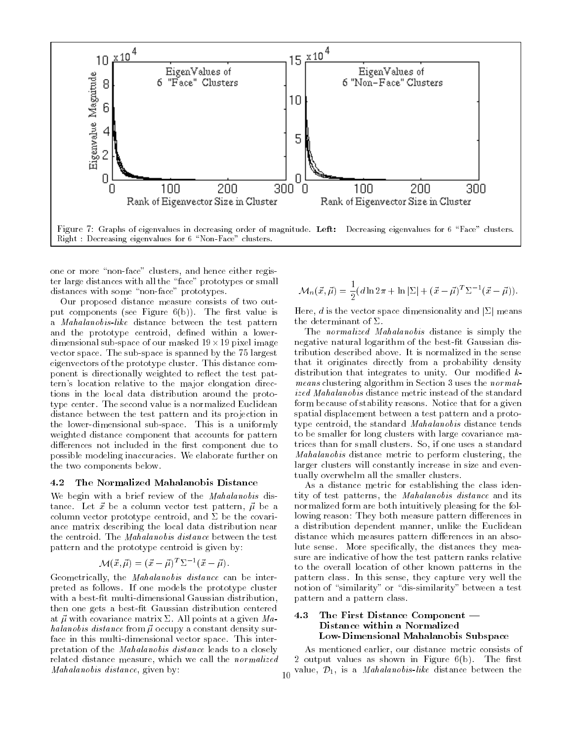

one or more "non-face" clusters, and hence either register large distances with all the \face" prototypes or small distances with some "non-face" prototypes.

Our proposed distance measure consists of two output components (see Figure  $6(b)$ ). The first value is a Mahalanobis-like distance between the test pattern and the prototype centroid, defined within a lowerdimensional sub-space of our masked 19-19 pixel image vector space. The sub-space is spanned by the 75 largest eigenvectors of the prototype cluster. This distance component is directionally weighted to reflect the test pattern's location relative to the major elongation directions in the local data distribution around the prototype center. The second value is a normalized Euclidean distance between the test pattern and its projection in the lower-dimensional sub-space. This is a uniformly weighted distance component that accounts for pattern differences not included in the first component due to possible modeling inaccuracies. We elaborate further on the two components below.

#### 4.2 The Normalized Mahalanobis Distance

We begin with a brief review of the *Mahalanobis* distance. Let  $\vec{x}$  be a column vector test pattern,  $\vec{\mu}$  be a column vector prototype centroid, and  $\Sigma$  be the covariance matrix describing the local data distribution near the centroid. The Mahalanobis distance between the test pattern and the prototype centroid is given by:

$$
\mathcal{M}(\vec{x}, \vec{\mu}) = (\vec{x} - \vec{\mu})^T \Sigma^{-1} (\vec{x} - \vec{\mu}).
$$

Geometrically, the *Mahalanobis distance* can be interpreted as follows. If one models the prototype cluster with a best-fit multi-dimensional Gaussian distribution, then one gets a best-fit Gaussian distribution centered<br>at  $\vec{a}$  with covariance matrix  $\sum$ , All points at a given  $\vec{M}_a$ , 4.3 at  $\vec{\mu}$  with covariance matrix  $\Sigma$ . All points at a given Mahalanobis distance from  $\vec{\mu}$  occupy a constant density surface in this multi-dimensional vector space. This interpretation of the Mahalanobis distance leads to a closely related distance measure, which we call the normalized Mahalanobis distance, given by:

$$
\mathcal{M}_n(\vec{x}, \vec{\mu}) = \frac{1}{2} (d \ln 2\pi + \ln |\Sigma| + (\vec{x} - \vec{\mu})^T \Sigma^{-1} (\vec{x} - \vec{\mu})).
$$

Here, d is the vector space dimensionality and  $|\Sigma|$  means the determinant of  $\Sigma$ .

The normalized Mahalanobis distance is simply the negative natural logarithm of the best-fit Gaussian distribution described above. It is normalized in the sense that it originates directly from a probability density distribution that integrates to unity. Our modified  $k$ means clustering algorithm in Section 3 uses the normalized Mahalanobis distance metric instead of the standard form because of stability reasons. Notice that for a given spatial displacement between a test pattern and a prototype centroid, the standard Mahalanobis distance tends to be smaller for long clusters with large covariance matrices than for small clusters. So, if one uses a standard Mahalanobis distance metric to perform clustering, the larger clusters will constantly increase in size and eventually overwhelm all the smaller clusters.

As a distance metric for establishing the class identity of test patterns, the Mahalanobis distance and its normalized form are both intuitively pleasing for the following reason: They both measure pattern differences in a distribution dependent manner, unlike the Euclidean distance which measures pattern differences in an absolute sense. More specifically, the distances they measure are indicative of how the test pattern ranks relative to the overall location of other known patterns in the pattern class. In this sense, they capture very well the notion of "similarity" or "dis-similarity" between a test pattern and a pattern class.

### The First Distance Component  $-$ Distance within a Normalized Low-Dimensional Mahalanobis Subspace

As mentioned earlier, our distance metric consists of 2 output values as shown in Figure  $6(b)$ . The first value,  $\mathcal{D}_1$ , is a *Mahalanobis-like* distance between the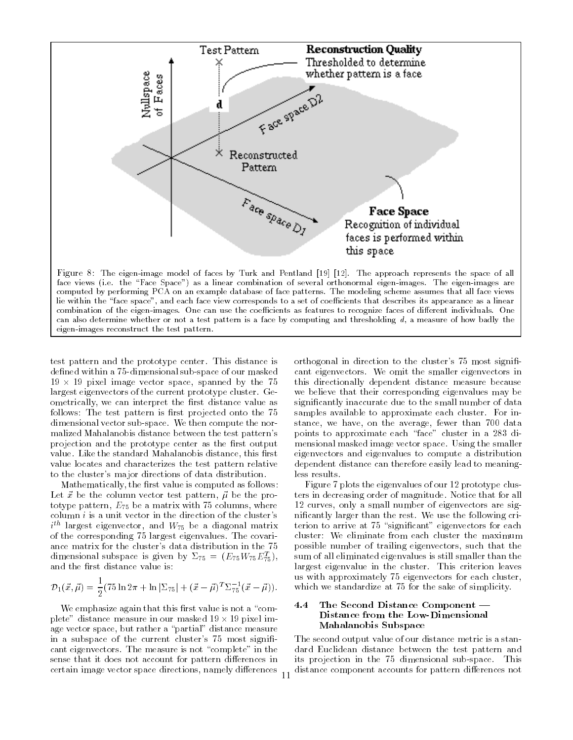

test pattern and the prototype center. This distance is defined within a 75-dimensional sub-space of our masked 19 - 19 pixel image vector space, spanned by the 75 largest eigenvectors of the current prototype cluster. Geometrically, we can interpret the first distance value as follows: The test pattern is first projected onto the 75 dimensional vector sub-space. We then compute the normalized Mahalanobis distance between the test pattern's projection and the prototype center as the first output value. Like the standard Mahalanobis distance, this first value locates and characterizes the test pattern relative to the cluster's major directions of data distribution.

eigen-images reconstruct the test pattern.

Mathematically, the first value is computed as follows: Let  $\vec{x}$  be the column vector test pattern,  $\vec{\mu}$  be the prototype pattern,  $E_{75}$  be a matrix with 75 columns, where column  $i$  is a unit vector in the direction of the cluster's  $i^{\cdots}$  largest eigenvector, and  $W_{75}$  be a diagonal matrix of the corresponding 75 largest eigenvalues. The covariance matrix for the cluster's data distribution in the 75 dimensional subspace is given by  $\omega_{75} = (E_{75}W_{75}E_{75})$ , and the first distance value is:

$$
\mathcal{D}_1(\vec{x}, \vec{\mu}) = \frac{1}{2} (75 \ln 2\pi + \ln |\Sigma_{75}| + (\vec{x} - \vec{\mu})^T \Sigma_{75}^{-1} (\vec{x} - \vec{\mu})).
$$

We emphasize again that this first value is not a "complete" distance measure in our masked 19 - 19 pixel image vector space, but rather a "partial" distance measure in a subspace of the current cluster's 75 most significant eigenvectors. The measure is not "complete" in the sense that it does not account for pattern differences in certain image vector space directions, namely differences orthogonal in direction to the cluster's 75 most significant eigenvectors. We omit the smaller eigenvectors in this directionally dependent distance measure because we believe that their corresponding eigenvalues may be signicantly inaccurate due to the small number of data samples available to approximate each cluster. For instance, we have, on the average, fewer than 700 data points to approximate each "face" cluster in a 283 dimensional masked image vector space. Using the smaller eigenvectors and eigenvalues to compute a distribution dependent distance can therefore easily lead to meaningless results.

Figure 7 plots the eigenvalues of our 12 prototype clusters in decreasing order of magnitude. Notice that for all 12 curves, only a small number of eigenvectors are signicantly larger than the rest. We use the following criterion to arrive at 75 "significant" eigenvectors for each cluster: We eliminate from each cluster the maximum possible number of trailing eigenvectors, such that the sum of all eliminated eigenvalues is still smaller than the largest eigenvalue in the cluster. This criterion leaves us with approximately 75 eigenvectors for each cluster, which we standardize at 75 for the sake of simplicity.

#### 4.4 The Second Distance Component — Distance from the Low-Dimensional Mahalanobis Subspace

The second output value of our distance metric is a standard Euclidean distance between the test pattern and its projection in the 75 dimensional sub-space. This distance component accounts for pattern differences not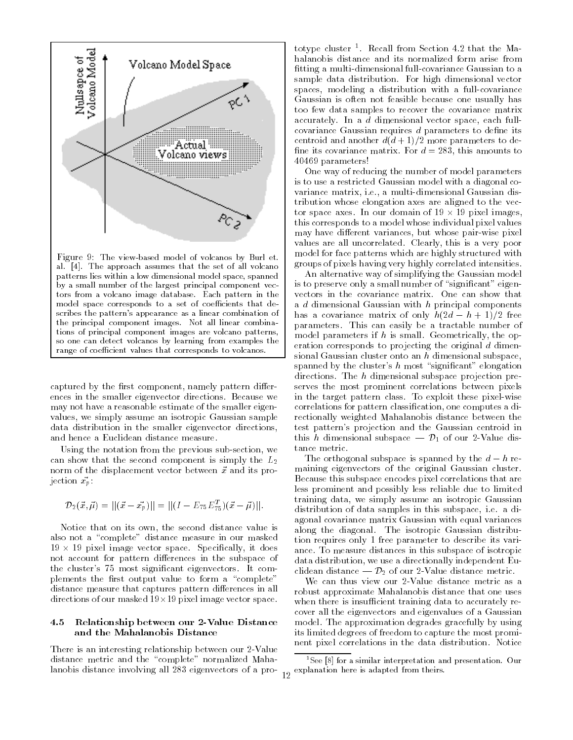

captured by the first component, namely pattern differences in the smaller eigenvector directions. Because we may not have a reasonable estimate of the smaller eigenvalues, we simply assume an isotropic Gaussian sample data distribution in the smaller eigenvector directions, and hence a Euclidean distance measure.

Using the notation from the previous sub-section, we can show that the second component is simply the  $L_2$ norm of the displacement vector between  $\vec{x}$  and its projection  $\vec{x}_p$ .

$$
\mathcal{D}_2(\vec{x}, \vec{\mu}) = ||(\vec{x} - \vec{x_p})|| = ||(I - E_{75}E_{75}^T)(\vec{x} - \vec{\mu})||.
$$

Notice that on its own, the second distance value is also not a "complete" distance measure in our masked 19 - 19 pixel image vector space. Specically, it does not account for pattern differences in the subspace of the cluster's 75 most signicant eigenvectors. It complements the first output value to form a "complete" distance measure that captures pattern differences in all directions of our masked 19-19 pixel image vector space.

#### 4.5 4.5 Relationship between our 2-Value Distance and the Mahalanobis Distance

There is an interesting relationship between our 2-Value distance metric and the "complete" normalized Mahalanobis distance involving all 283 eigenvectors of a pro-

totype cluster <sup>1</sup> . Recall from Section 4.2 that the Mahalanobis distance and its normalized form arise from tting a multi-dimensional full-covariance Gaussian to a sample data distribution. For high dimensional vector spaces, modeling a distribution with a full-covariance Gaussian is often not feasible because one usually has too few data samples to recover the covariance matrix accurately. In a <sup>d</sup> dimensional vector space, each fullcovariance Gaussian requires  $d$  parameters to define its centroid and another  $d(d+1)/2$  more parameters to define its covariance matrix. For  $d = 283$ , this amounts to 40469 parameters!

One way of reducing the number of model parameters is to use a restricted Gaussian model with a diagonal covariance matrix, i.e., a multi-dimensional Gaussian distribution whose elongation axes are aligned to the vector space axes. In our domain of 19 - 19 pixel images, this corresponds to a model whose individual pixel values may have different variances, but whose pair-wise pixel values are all uncorrelated. Clearly, this is a very poor model for face patterns which are highly structured with groups of pixels having very highly correlated intensities.

An alternative way of simplifying the Gaussian model is to preserve only a small number of "significant" eigenvectors in the covariance matrix. One can show that a <sup>d</sup> dimensional Gaussian with <sup>h</sup> principal components has a covariance matrix of only  $h(2d - h + 1)/2$  free parameters. This can easily be a tractable number of model parameters if  $h$  is small. Geometrically, the operation corresponds to projecting the original <sup>d</sup> dimensional Gaussian cluster onto an <sup>h</sup> dimensional subspace, spanned by the cluster's  $h$  most "significant" elongation directions. The <sup>h</sup> dimensional subspace projection preserves the most prominent correlations between pixels in the target pattern class. To exploit these pixel-wise correlations for pattern classication, one computes a directionally weighted Mahalanobis distance between the test pattern's projection and the Gaussian centroid in this h dimensional subspace  $-\mathcal{D}_1$  of our 2-Value distance metric.

The orthogonal subspace is spanned by the  $d-h$  remaining eigenvectors of the original Gaussian cluster. Because this subspace encodes pixel correlations that are less prominent and possibly less reliable due to limited training data, we simply assume an isotropic Gaussian distribution of data samples in this subspace, i.e. a diagonal covariance matrix Gaussian with equal variances along the diagonal. The isotropic Gaussian distribution requires only 1 free parameter to describe its variance. To measure distances in this subspace of isotropic data distribution, we use a directionally independent Euclidean distance  $-\mathcal{D}_2$  of our 2-Value distance metric.

We can thus view our 2-Value distance metric as a robust approximate Mahalanobis distance that one uses when there is insufficient training data to accurately recover all the eigenvectors and eigenvalues of a Gaussian model. The approximation degrades gracefully by using its limited degrees of freedom to capture the most promi nent pixel correlations in the data distribution. Notice

 $^1\mathrm{See}$  [8] for a similar interpretation and presentation. Our explanation here is adapted from theirs.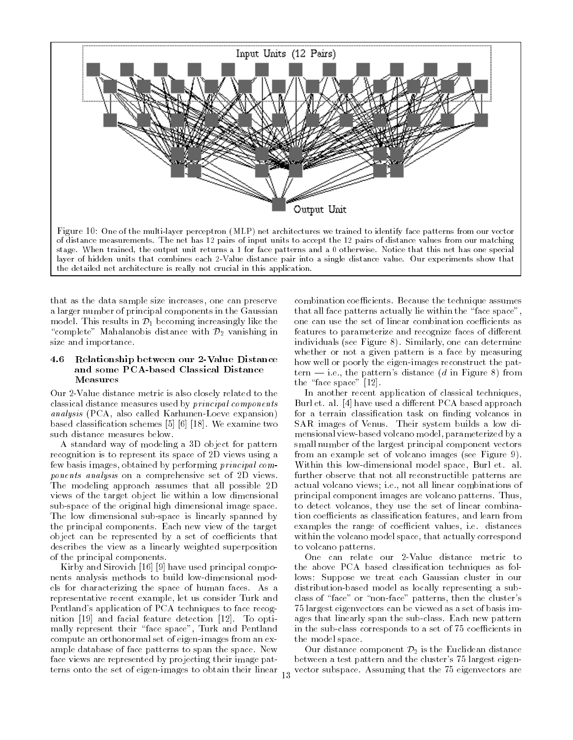

that as the data sample size increases, one can preserve a larger number of principal components in the Gaussian model. This results in  $\mathcal{D}_1$  becoming increasingly like the "complete" Mahalanobis distance with  $\mathcal{D}_2$  vanishing in size and importance.

#### 4.6 Relationship between our 2-Value Distance and some PCA-based Classical Distance Measures

Our 2-Value distance metric is also closely related to the classical distance measures used by principal components analysis (PCA, also called Karhunen-Loeve expansion) based classication schemes [5] [6] [18]. We examine two such distance measures below.

A standard way of modeling a 3D object for pattern recognition is to represent its space of 2D views using a few basis images, obtained by performing principal components analysis on a comprehensive set of 2D views. The modeling approach assumes that all possible 2D views of the target object lie within a low dimensional sub-space of the original high dimensional image space. The low dimensional sub-space is linearly spanned by the principal components. Each new view of the target object can be represented by a set of coefficients that describes the view as a linearly weighted superposition of the principal components.

Kirby and Sirovich [16] [9] have used principal compo nents analysis methods to build low-dimensional models for characterizing the space of human faces. As a representative recent example, let us consider Turk and Pentland's application of PCA techniques to face recognition [19] and facial feature detection [12]. To optimally represent their "face space", Turk and Pentland compute an orthonormal set of eigen-images from an example database of face patterns to span the space. New face views are represented by projecting their image patterns onto the set of eigen-images to obtain their linear

combination coefficients. Because the technique assumes that all face patterns actually lie within the "face space", one can use the set of linear combination coefficients as features to parameterize and recognize faces of different individuals (see Figure 8). Similarly, one can determine whether or not a given pattern is a face by measuring how well or poorly the eigen-images reconstruct the pattern  $-$  i.e., the pattern's distance (d in Figure 8) from the "face space"  $[12]$ .

In another recent application of classical techniques, Burl et. al. [4] have used a different PCA based approach for a terrain classification task on finding volcanos in SAR images of Venus. Their system builds a low dimensional view-based volcano model, parameterized by a small number of the largest principal component vectors from an example set of volcano images (see Figure 9). Within this low-dimensional model space, Burl et. al. further observe that not all reconstructible patterns are actual volcano views; i.e., not all linear combinations of principal component images are volcano patterns. Thus, to detect volcanos, they use the set of linear combination coefficients as classification features, and learn from examples the range of coefficient values, i.e. distances within the volcano model space, that actually correspond to volcano patterns.

One can relate our 2-Value distance metric to the above PCA based classication techniques as follows: Suppose we treat each Gaussian cluster in our distribution-based model as locally representing a subclass of "face" or "non-face" patterns, then the cluster's 75 largest eigenvectors can be viewed as a set of basis images that linearly span the sub-class. Each new pattern in the sub-class corresponds to a set of 75 coefficients in the model space.

Our distance component  $\mathcal{D}_2$  is the Euclidean distance between a test pattern and the cluster's 75 largest eigenvector subspace. Assuming that the 75 eigenvectors are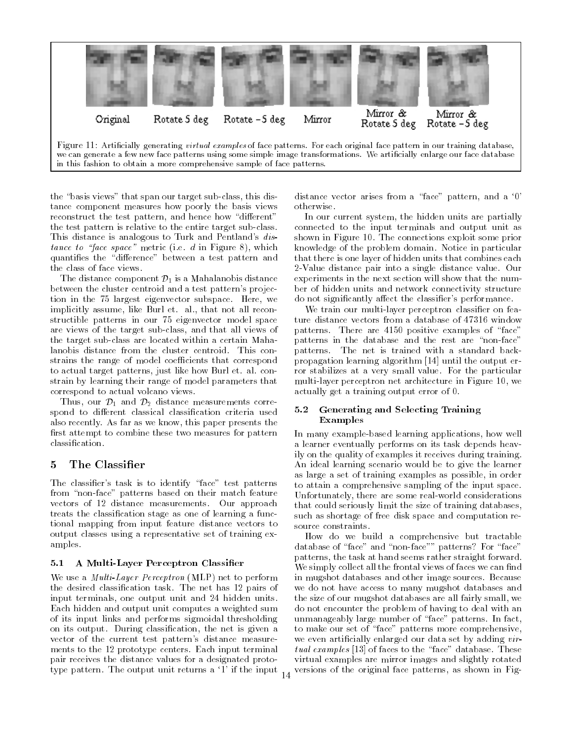

the "basis views" that span our target sub-class, this distance component measures how poorly the basis views reconstruct the test pattern, and hence how "different" the test pattern is relative to the entire target sub-class. This distance is analogous to Turk and Pentland's distance to "face space" metric (i.e. d in Figure 8), which quantifies the "difference" between a test pattern and the class of face views.

The distance component  $\mathcal{D}_1$  is a Mahalanobis distance between the cluster centroid and a test pattern's projection in the 75 largest eigenvector subspace. Here, we implicitly assume, like Burl et. al., that not all reconstructible patterns in our 75 eigenvector model space are views of the target sub-class, and that all views of the target sub-class are located within a certain Mahalanobis distance from the cluster centroid. This constrains the range of model coefficients that correspond to actual target patterns, just like how Burl et. al. constrain by learning their range of model parameters that correspond to actual volcano views.

Thus, our  $\mathcal{D}_1$  and  $\mathcal{D}_2$  distance measurements correspond to different classical classification criteria used also recently. As far as we know, this paper presents the first attempt to combine these two measures for pattern classication.

# 5 The Classier

The classifier's task is to identify "face" test patterns from "non-face" patterns based on their match feature vectors of 12 distance measurements. Our approach treats the classication stage as one of learning a functional mapping from input feature distance vectors to output classes using a representative set of training examples.

# 5.1 A Multi-Layer Perceptron Classier

We use a Multi-Layer Perceptron (MLP) net to perform the desired classication task. The net has 12 pairs of input terminals, one output unit and 24 hidden units. Each hidden and output unit computes a weighted sum of its input links and performs sigmoidal thresholding on its output. During classication, the net is given a vector of the current test pattern's distance measure ments to the 12 prototype centers. Each input terminal pair receives the distance values for a designated prototype pattern. The output unit returns a `1' if the input distance vector arises from a "face" pattern, and a '0' otherwise.

In our current system, the hidden units are partially connected to the input terminals and output unit as shown in Figure 10. The connections exploit some prior knowledge of the problem domain. Notice in particular that there is one layer of hidden units that combines each 2-Value distance pair into a single distance value. Our experiments in the next section will show that the num ber of hidden units and network connectivity structure do not significantly affect the classifier's performance.

We train our multi-layer perceptron classier on feature distance vectors from a database of 47316 window patterns. There are 4150 positive examples of "face" patterns in the database and the rest are "non-face" patterns. The net is trained with a standard backpropagation learning algorithm [14] until the output error stabilizes at a very small value. For the particular multi-layer perceptron net architecture in Figure 10, we actually get a training output error of 0.

### 5.2 Generating and Selecting Training Examples

In many example-based learning applications, how well a learner eventually performs on its task depends heavily on the quality of examples it receives during training. An ideal learning scenario would be to give the learner as large a set of training examples as possible, in order to attain a comprehensive sampling of the input space. Unfortunately, there are some real-world considerations that could seriously limit the size of training databases, such as shortage of free disk space and computation resource constraints.

How do we build a comprehensive but tractable database of "face" and "non-face"" patterns? For "face" patterns, the task at hand seems rather straight forward. We simply collect all the frontal views of faces we can find in mugshot databases and other image sources. Because we do not have access to many mugshot databases and the size of our mugshot databases are all fairly small, we do not encounter the problem of having to deal with an unmanageably large number of \face" patterns. In fact, to make our set of "face" patterns more comprehensive, we even artificially enlarged our data set by adding virtual examples  $[13]$  of faces to the "face" database. These virtual examples are mirror images and slightly rotated versions of the original face patterns, as shown in Fig-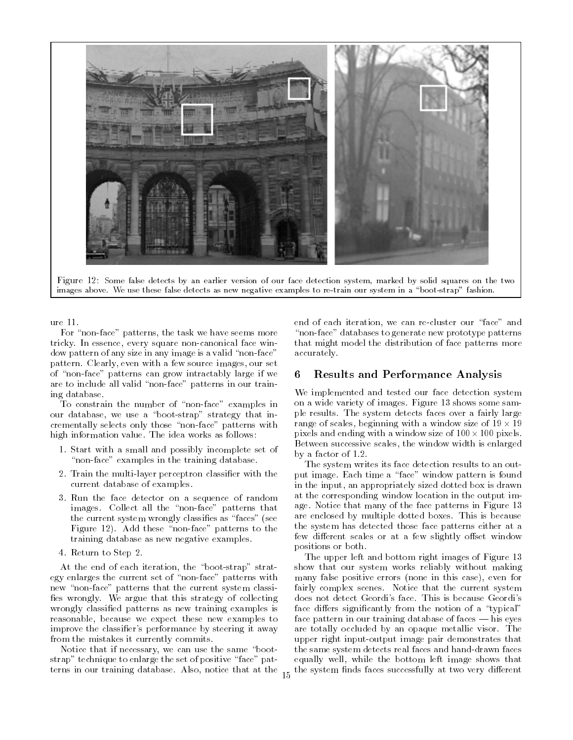

Figure 12: Some false detects by an earlier version of our face detection system, marked by solid squares on the two images above. We use these false detects as new negative examples to re-train our system in a "boot-strap" fashion.

ure 11.

For "non-face" patterns, the task we have seems more tricky. In essence, every square non-canonical face window pattern of any size in any image is a valid "non-face" pattern. Clearly, even with a few source images, our set of \non-face" patterns can grow intractably large if we are to include all valid "non-face" patterns in our training database.

To constrain the number of "non-face" examples in our database, we use a "boot-strap" strategy that incrementally selects only those "non-face" patterns with high information value. The idea works as follows:

- 1. Start with a small and possibly incomplete set of "non-face" examples in the training database.
- 2. Train the multi-layer perceptron classier with the current database of examples.
- 3. Run the face detector on a sequence of random images. Collect all the "non-face" patterns that the current system wrongly classifies as "faces" (see Figure 12). Add these "non-face" patterns to the training database as new negative examples.
- 4. Return to Step 2.

At the end of each iteration, the "boot-strap" strategy enlarges the current set of \non-face" patterns with new "non-face" patterns that the current system classifies wrongly. We argue that this strategy of collecting wrongly classied patterns as new training examples is reasonable, because we expect these new examples to improve the classifier's performance by steering it away from the mistakes it currently commits.

Notice that if necessary, we can use the same "bootstrap" technique to enlarge the set of positive "face" patterns in our training database. Also, notice that at the end of each iteration, we can re-cluster our "face" and "non-face" databases to generate new prototype patterns that might model the distribution of face patterns more accurately.

## 6 Results and Performance Analysis

We implemented and tested our face detection system on a wide variety of images. Figure 13 shows some sam ple results. The system detects faces over a fairly large range of scales, beginning with a window size of 19 - 19 pixels and ending with a window size of 100-100 pixels. Between successive scales, the window width is enlarged by a factor of 1:2.

The system writes its face detection results to an output image. Each time a "face" window pattern is found in the input, an appropriately sized dotted box is drawn at the corresponding window location in the output image. Notice that many of the face patterns in Figure 13 are enclosed by multiple dotted boxes. This is because the system has detected those face patterns either at a few different scales or at a few slightly offset window positions or both.

The upper left and bottom right images of Figure 13 show that our system works reliably without making many false positive errors (none in this case), even for fairly complex scenes. Notice that the current system does not detect Geordi's face. This is because Geordi's face differs significantly from the notion of a "typical" face pattern in our training database of faces  $-$  his eyes are totally occluded by an opaque metallic visor. The upper right input-output image pair demonstrates that the same system detects real faces and hand-drawn faces equally well, while the bottom left image shows that the system finds faces successfully at two very different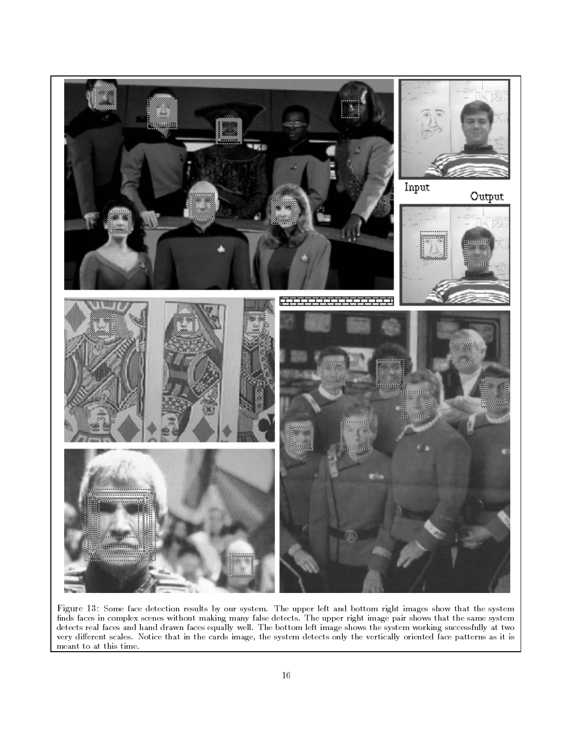

Figure 13: Some face detection results by our system. The upper left and bottom right images show that the system finds faces in complex scenes without making many false detects. The upper right image pair shows that the same system detects real faces and hand drawn faces equally well. The bottom left image shows the system working successfully at two very different scales. Notice that in the cards image, the system detects only the vertically oriented face patterns as it is meant to at this time.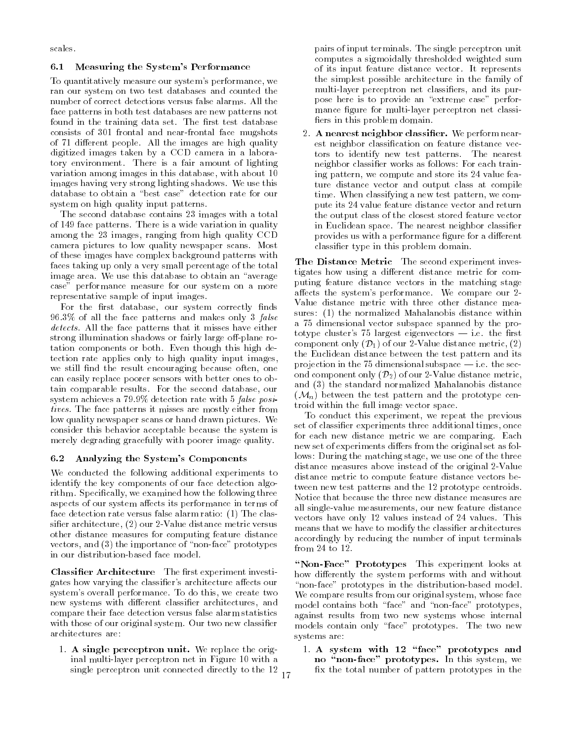scales.

### 6.1 Measuring the System's Performance

To quantitatively measure our system's performance, we ran our system on two test databases and counted the number of correct detections versus false alarms. All the face patterns in both test databases are new patterns not found in the training data set. The first test database consists of 301 frontal and near-frontal face mugshots of 71 different people. All the images are high quality digitized images taken by a CCD camera in a laboratory environment. There is a fair amount of lighting variation among images in this database, with about 10 images having very strong lighting shadows. We use this database to obtain a "best case" detection rate for our system on high quality input patterns.

The second database contains 23 images with a total of 149 face patterns. There is a wide variation in quality among the 23 images, ranging from high quality CCD camera pictures to low quality newspaper scans. Most of these images have complex background patterns with faces taking up only a very small percentage of the total image area. We use this database to obtain an "average case" performance measure for our system on a more representative sample of input images.

For the first database, our system correctly finds 96:3% of all the face patterns and makes only 3 false detects. All the face patterns that it misses have either strong illumination shadows or fairly large off-plane rotation components or both. Even though this high detection rate applies only to high quality input images, we still find the result encouraging because often, one can easily replace poorer sensors with better ones to obtain comparable results. For the second database, our system achieves a 79:9% detection rate with 5 false positives. The face patterns it misses are mostly either from low quality newspaper scans or hand drawn pictures. We consider this behavior acceptable because the system is merely degrading gracefully with poorer image quality.

# 6.2 Analyzing the System's Components

We conducted the following additional experiments to identify the key components of our face detection algorithm. Specically, we examined how the following three aspects of our system affects its performance in terms of face detection rate versus false alarm ratio: (1) The classier architecture, (2) our 2-Value distance metric versus other distance measures for computing feature distance vectors, and (3) the importance of "non-face" prototypes in our distribution-based face model.

Classifier Architecture The first experiment investigates how varying the classifier's architecture affects our system's overall performance. To do this, we create two new systems with different classifier architectures, and compare their face detection versus false alarm statistics with those of our original system. Our two new classifier architectures are:

1. A single perceptron unit. We replace the original multi-layer perceptron net in Figure 10 with a single perceptron unit connected directly to the 12 pairs of input terminals. The single perceptron unit computes a sigmoidally thresholded weighted sum of its input feature distance vector. It represents the simplest possible architecture in the family of multi-layer perceptron net classiers, and its purpose here is to provide an "extreme case" performance figure for multi-layer perceptron net classifiers in this problem domain.

2. A nearest neighbor classifier. We perform nearest neighbor classication on feature distance vectors to identify new test patterns. The nearest neighbor classier works as follows: For each training pattern, we compute and store its 24 value feature distance vector and output class at compile time. When classifying a new test pattern, we com pute its 24 value feature distance vector and return the output class of the closest stored feature vector in Euclidean space. The nearest neighbor classier provides us with a performance figure for a different classier type in this problem domain.

The Distance Metric The second experiment investigates how using a different distance metric for computing feature distance vectors in the matching stage affects the system's performance. We compare our 2-Value distance metric with three other distance measures: (1) the normalized Mahalanobis distance within a 75 dimensional vector subspace spanned by the prototype cluster's  $75$  largest eigenvectors  $-$  i.e. the first component only  $(\mathcal{D}_1)$  of our 2-Value distance metric, (2) the Euclidean distance between the test pattern and its projection in the 75 dimensional subspace  $-$  i.e. the second component only  $(\mathcal{D}_2)$  of our 2-Value distance metric, and (3) the standard normalized Mahalanobis distance  $(\mathcal{M}_n)$  between the test pattern and the prototype centroid within the full image vector space.

To conduct this experiment, we repeat the previous set of classier experiments three additional times, once for each new distance metric we are comparing. Each new set of experiments differs from the original set as follows: During the matching stage, we use one of the three distance measures above instead of the original 2-Value distance metric to compute feature distance vectors between new test patterns and the 12 prototype centroids. Notice that because the three new distance measures are all single-value measurements, our new feature distance vectors have only 12 values instead of 24 values. This means that we have to modify the classifier architectures accordingly by reducing the number of input terminals from 24 to 12.

"Non-Face" Prototypes This experiment looks at how differently the system performs with and without "non-face" prototypes in the distribution-based model. We compare results from our original system, whose face model contains both "face" and "non-face" prototypes, against results from two new systems whose internal models contain only "face" prototypes. The two new systems are:

1. A system with  $12 \text{ "face" prototypes and}$ no "non-face" prototypes. In this system, we x the total number of pattern prototypes in the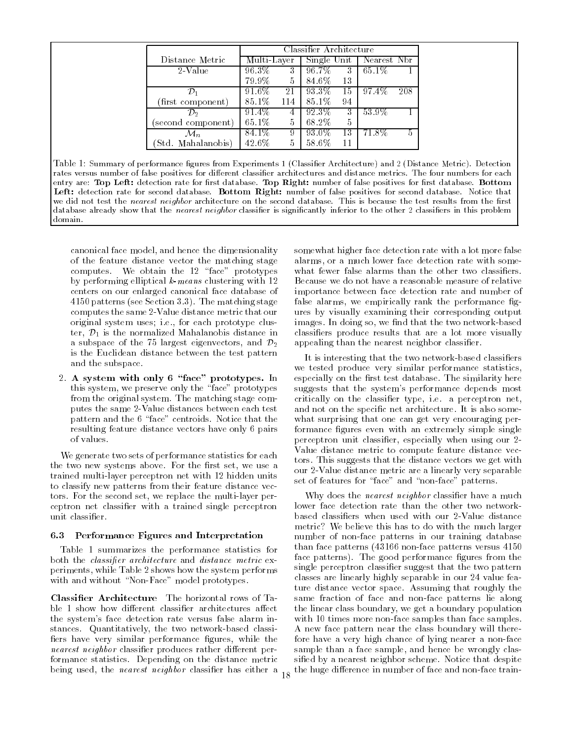|                    | Classifier Architecture |       |             |    |                         |   |  |  |
|--------------------|-------------------------|-------|-------------|----|-------------------------|---|--|--|
| Distance Metric    | Multi-Layer             |       | Single Unit |    | Nearest Nbr             |   |  |  |
| 2-Value            | 96.3%                   | $3^-$ | 96.7%       | 3  | $65.1\%$                |   |  |  |
|                    | 79.9%                   | 5     | 84.6%       | 13 |                         |   |  |  |
|                    | 91.6%                   | 21    | 93.3%       | 15 | $97.\overline{4\%}$ 208 |   |  |  |
| (first component)  | 85.1%                   | 114   | 85.1%       | 94 |                         |   |  |  |
| р,                 | 91.4%                   |       | 92.3%       | 3  | 53.9%                   |   |  |  |
| (second component) | 65.1%                   | 5     | 68.2%       | 5  |                         |   |  |  |
|                    | 84.1%                   | 9     | 93.0%       | 13 | 71.8%                   | 5 |  |  |
| (Std. Mahalanobis) | 42.6%                   | 5     | 58.6%       | 11 |                         |   |  |  |

Table 1: Summary of performance figures from Experiments 1 (Classifier Architecture) and 2 (Distance Metric). Detection rates versus number of false positives for different classifier architectures and distance metrics. The four numbers for each entry are: Top Left: detection rate for first database. Top Right: number of false positives for first database. Bottom  $\bf$  detection rate for second database. Dottom Right: number of false positives for second database. Notice that  $\parallel$ we did not test the nearest neighbor architecture on the second database. This is because the test results from the first database already show that the nearest neighbor classifier is significantly inferior to the other 2 classifiers in this problem domain.

canonical face model, and hence the dimensionality of the feature distance vector the matching stage computes. We obtain the 12 "face" prototypes by performing elliptical k-means clustering with 12 centers on our enlarged canonical face database of 4150 patterns (see Section 3.3). The matching stage computes the same 2-Value distance metric that our original system uses; i.e., for each prototype cluster,  $\mathcal{D}_1$  is the normalized Mahalanobis distance in a subspace of the 75 largest eigenvectors, and  $\mathcal{D}_2$ is the Euclidean distance between the test pattern and the subspace.

2. A system with only 6 "face" prototypes. In this system, we preserve only the "face" prototypes from the original system. The matching stage computes the same 2-Value distances between each test pattern and the 6 "face" centroids. Notice that the resulting feature distance vectors have only 6 pairs of values.

We generate two sets of performance statistics for each the two new systems above. For the first set, we use a trained multi-layer perceptron net with 12 hidden units to classify new patterns from their feature distance vectors. For the second set, we replace the multi-layer perceptron net classier with a trained single perceptron unit classifier.

#### 6.3 Performance Figures and Interpretation

Table 1 summarizes the performance statistics for both the *classifier architecture* and *distance metric* experiments, while Table 2 shows how the system performs with and without "Non-Face" model prototypes.

Classier Architecture The horizontal rows of Ta ble 1 show how different classifier architectures affect the system's face detection rate versus false alarm instances. Quantitatively, the two network-based classi fiers have very similar performance figures, while the nearest neighbor classifier produces rather different performance statistics. Depending on the distance metric being used, the *nearest neighbor* classifier has either a somewhat higher face detection rate with a lot more false alarms, or a much lower face detection rate with somewhat fewer false alarms than the other two classifiers. Because we do not have a reasonable measure of relative importance between face detection rate and number of false alarms, we empirically rank the performance figures by visually examining their corresponding output images. In doing so, we find that the two network-based classiers produce results that are a lot more visually appealing than the nearest neighbor classifier.

It is interesting that the two network-based classiers we tested produce very similar performance statistics, especially on the first test database. The similarity here suggests that the system's performance depends most critically on the classier type, i.e. a perceptron net, and not on the specific net architecture. It is also somewhat surprising that one can get very encouraging performance figures even with an extremely simple single perceptron unit classifier, especially when using our 2-Value distance metric to compute feature distance vectors. This suggests that the distance vectors we get with our 2-Value distance metric are a linearly very separable set of features for "face" and "non-face" patterns.

Why does the *nearest neighbor* classifier have a much lower face detection rate than the other two networkbased classiers when used with our 2-Value distance metric? We believe this has to do with the much larger number of non-face patterns in our training database than face patterns (43166 non-face patterns versus 4150 face patterns). The good performance figures from the single perceptron classifier suggest that the two pattern classes are linearly highly separable in our 24 value feature distance vector space. Assuming that roughly the same fraction of face and non-face patterns lie along the linear class boundary, we get a boundary population with 10 times more non-face samples than face samples. A new face pattern near the class boundary will therefore have a very high chance of lying nearer a non-face sample than a face sample, and hence be wrongly classied by a nearest neighbor scheme. Notice that despite the huge difference in number of face and non-face train-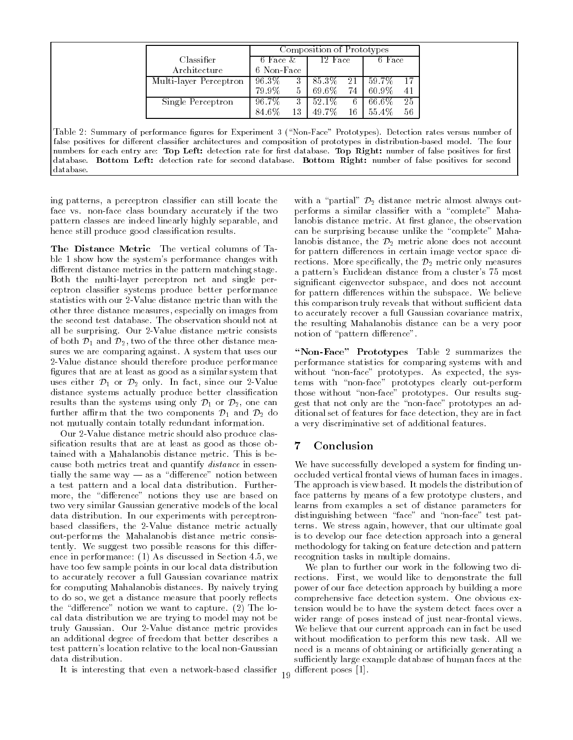|                        | Composition of Prototypes |    |         |    |        |    |  |  |
|------------------------|---------------------------|----|---------|----|--------|----|--|--|
| Classifier             | 6 Face &                  |    | 12 Face |    | 6 Face |    |  |  |
| Architecture           | 6 Non-Face                |    |         |    |        |    |  |  |
| Multi-layer Perceptron | 96.3%                     |    | 85.3%   | 21 | 59.7%  |    |  |  |
|                        | 79.9%                     |    | 69.6%   | 74 | 60.9%  | 41 |  |  |
| Single Perceptron      | 96.7%                     |    | 52.1\%  | 6  | 66.6%  | 25 |  |  |
|                        | 84.6%                     | 13 | 49.7%   | 16 | 55.4%  | 56 |  |  |

Table 2: Summary of performance figures for Experiment 3 ("Non-Face" Prototypes). Detection rates versus number of false positives for different classifier architectures and composition of prototypes in distribution-based model. The four numbers for each entry are: Top Left: detection rate for first database. Top Right: number of false positives for first database. Bottom Left: detection rate for second database. Bottom Right: number of false positives for second database.

ing patterns, a perceptron classier can still locate the face vs. non-face class boundary accurately if the two pattern classes are indeed linearly highly separable, and hence still produce good classification results.

The Distance Metric The vertical columns of Ta ble 1 show how the system's performance changes with different distance metrics in the pattern matching stage. Both the multi-layer perceptron net and single perceptron classier systems produce better performance statistics with our 2-Value distance metric than with the other three distance measures, especially on images from the second test database. The observation should not at all be surprising. Our 2-Value distance metric consists of both  $\mathcal{D}_1$  and  $\mathcal{D}_2$ , two of the three other distance measures we are comparing against. A system that uses our 2-Value distance should therefore produce performance figures that are at least as good as a similar system that uses either  $\mathcal{D}_1$  or  $\mathcal{D}_2$  only. In fact, since our 2-Value distance systems actually produce better classication results than the systems using only  $\mathcal{D}_1$  or  $\mathcal{D}_2$ , one can further affirm that the two components  $\mathcal{D}_1$  and  $\mathcal{D}_2$  do not mutually contain totally redundant information.

Our 2-Value distance metric should also produce classification results that are at least as good as those obtained with a Mahalanobis distance metric. This is because both metrics treat and quantify distance in essentially the same way  $-$  as a "difference" notion between a test pattern and a local data distribution. Furthermore, the "difference" notions they use are based on two very similar Gaussian generative models of the local data distribution. In our experiments with perceptronbased classiers, the 2-Value distance metric actually out-performs the Mahalanobis distance metric consistently. We suggest two possible reasons for this difference in performance: (1) As discussed in Section 4.5, we have too few sample points in our local data distribution to accurately recover a full Gaussian covariance matrix for computing Mahalanobis distances. By naively trying to do so, we get a distance measure that poorly reflects the "difference" notion we want to capture. (2) The local data distribution we are trying to model may not be truly Gaussian. Our 2-Value distance metric provides an additional degree of freedom that better describes a test pattern's location relative to the local non-Gaussian data distribution.

It is interesting that even a network-based classifier  $_{19}$ 

with a "partial"  $\mathcal{D}_2$  distance metric almost always outperforms a similar classifier with a "complete" Mahalanobis distance metric. At first glance, the observation can be surprising because unlike the "complete" Mahalanobis distance, the  $\mathcal{D}_2$  metric alone does not account for pattern differences in certain image vector space directions. More specifically, the  $\mathcal{D}_2$  metric only measures a pattern's Euclidean distance from a cluster's 75 most signicant eigenvector subspace, and does not account for pattern differences within the subspace. We believe this comparison truly reveals that without sufficient data to accurately recover a full Gaussian covariance matrix, the resulting Mahalanobis distance can be a very poor notion of "pattern difference".

"Non-Face" Prototypes Table 2 summarizes the performance statistics for comparing systems with and without "non-face" prototypes. As expected, the systems with "non-face" prototypes clearly out-perform those without "non-face" prototypes. Our results suggest that not only are the \non-face" prototypes an additional set of features for face detection, they are in fact a very discriminative set of additional features.

# 7 Conclusion

We have successfully developed a system for finding unoccluded vertical frontal views of human faces in images. The approach is view based. It models the distribution of face patterns by means of a few prototype clusters, and learns from examples a set of distance parameters for distinguishing between "face" and "non-face" test patterns. We stress again, however, that our ultimate goal is to develop our face detection approach into a general methodology for taking on feature detection and pattern recognition tasks in multiple domains.

We plan to further our work in the following two directions. First, we would like to demonstrate the full power of our face detection approach by building a more comprehensive face detection system. One obvious extension would be to have the system detect faces over a wider range of poses instead of just near-frontal views. We believe that our current approach can in fact be used without modication to perform this new task. All we need is a means of obtaining or articially generating a sufficiently large example database of human faces at the different poses [1].